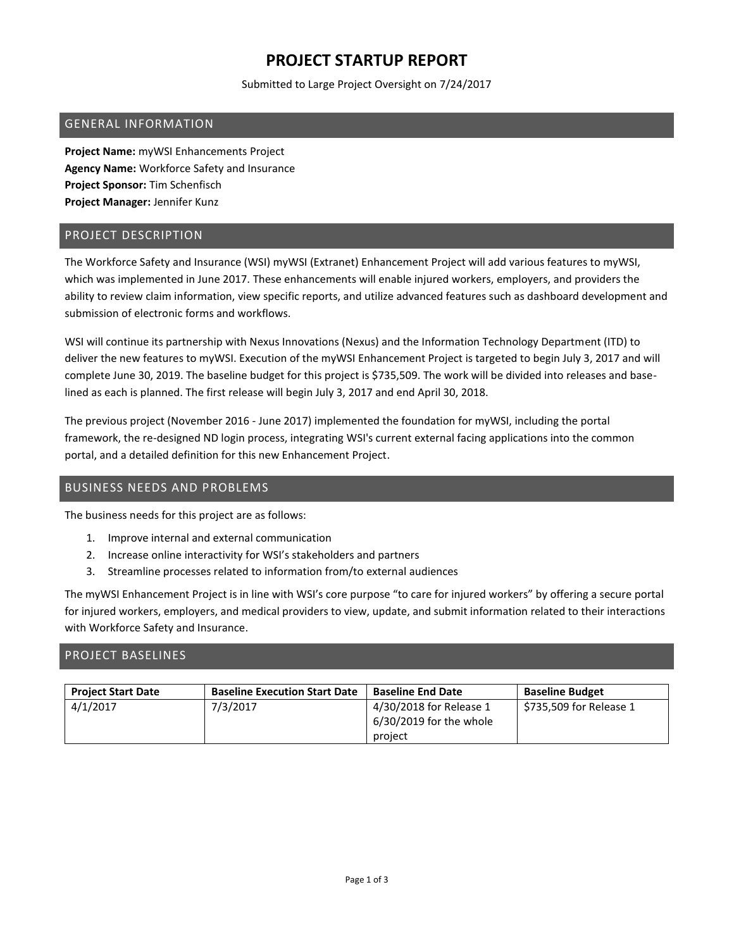# **PROJECT STARTUP REPORT**

Submitted to Large Project Oversight on 7/24/2017

### GENERAL INFORMATION

**Project Name:** myWSI Enhancements Project **Agency Name:** Workforce Safety and Insurance **Project Sponsor:** Tim Schenfisch **Project Manager:** Jennifer Kunz

#### PROJECT DESCRIPTION

The Workforce Safety and Insurance (WSI) myWSI (Extranet) Enhancement Project will add various features to myWSI, which was implemented in June 2017. These enhancements will enable injured workers, employers, and providers the ability to review claim information, view specific reports, and utilize advanced features such as dashboard development and submission of electronic forms and workflows.

WSI will continue its partnership with Nexus Innovations (Nexus) and the Information Technology Department (ITD) to deliver the new features to myWSI. Execution of the myWSI Enhancement Project is targeted to begin July 3, 2017 and will complete June 30, 2019. The baseline budget for this project is \$735,509. The work will be divided into releases and baselined as each is planned. The first release will begin July 3, 2017 and end April 30, 2018.

The previous project (November 2016 - June 2017) implemented the foundation for myWSI, including the portal framework, the re-designed ND login process, integrating WSI's current external facing applications into the common portal, and a detailed definition for this new Enhancement Project.

### BUSINESS NEEDS AND PROBLEMS

The business needs for this project are as follows:

- 1. Improve internal and external communication
- 2. Increase online interactivity for WSI's stakeholders and partners
- 3. Streamline processes related to information from/to external audiences

The myWSI Enhancement Project is in line with WSI's core purpose "to care for injured workers" by offering a secure portal for injured workers, employers, and medical providers to view, update, and submit information related to their interactions with Workforce Safety and Insurance.

### PROJECT BASELINES

| <b>Project Start Date</b> | <b>Baseline Execution Start Date</b> | <b>Baseline End Date</b>                                        | <b>Baseline Budget</b>  |
|---------------------------|--------------------------------------|-----------------------------------------------------------------|-------------------------|
| 4/1/2017                  | 7/3/2017                             | 4/30/2018 for Release 1<br>$6/30/2019$ for the whole<br>project | \$735,509 for Release 1 |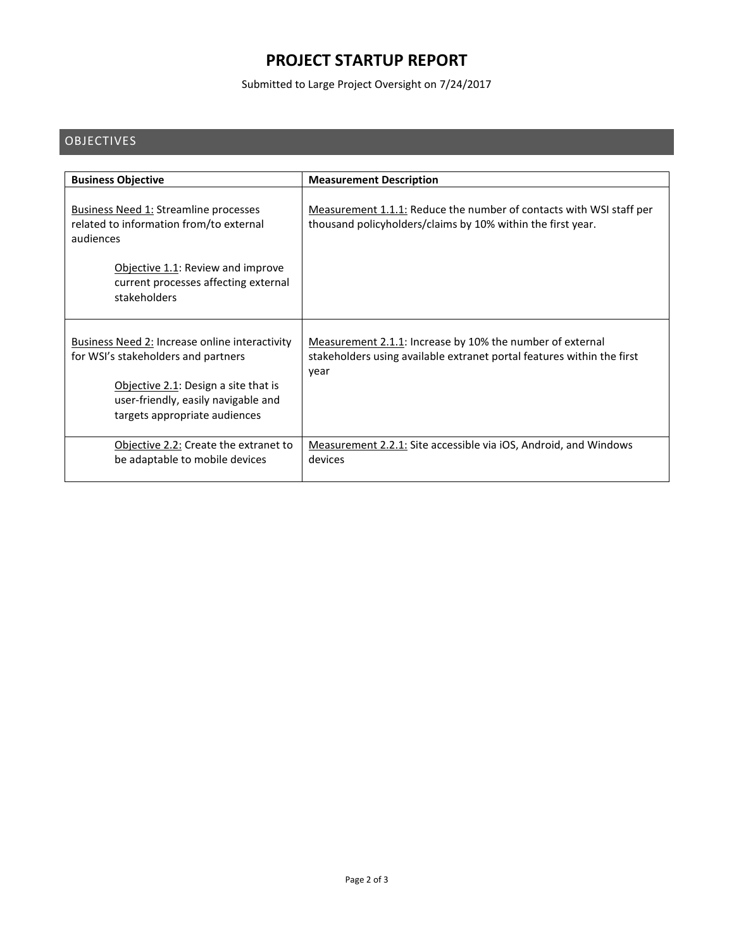# **PROJECT STARTUP REPORT**

Submitted to Large Project Oversight on 7/24/2017

### **OBJECTIVES**

| <b>Business Objective</b>                                                                                                                                                                             | <b>Measurement Description</b>                                                                                                              |
|-------------------------------------------------------------------------------------------------------------------------------------------------------------------------------------------------------|---------------------------------------------------------------------------------------------------------------------------------------------|
| <b>Business Need 1: Streamline processes</b><br>related to information from/to external<br>audiences                                                                                                  | Measurement 1.1.1: Reduce the number of contacts with WSI staff per<br>thousand policyholders/claims by 10% within the first year.          |
| Objective 1.1: Review and improve<br>current processes affecting external<br>stakeholders                                                                                                             |                                                                                                                                             |
| Business Need 2: Increase online interactivity<br>for WSI's stakeholders and partners<br>Objective 2.1: Design a site that is<br>user-friendly, easily navigable and<br>targets appropriate audiences | Measurement 2.1.1: Increase by 10% the number of external<br>stakeholders using available extranet portal features within the first<br>year |
| Objective 2.2: Create the extranet to<br>be adaptable to mobile devices                                                                                                                               | Measurement 2.2.1: Site accessible via iOS, Android, and Windows<br>devices                                                                 |